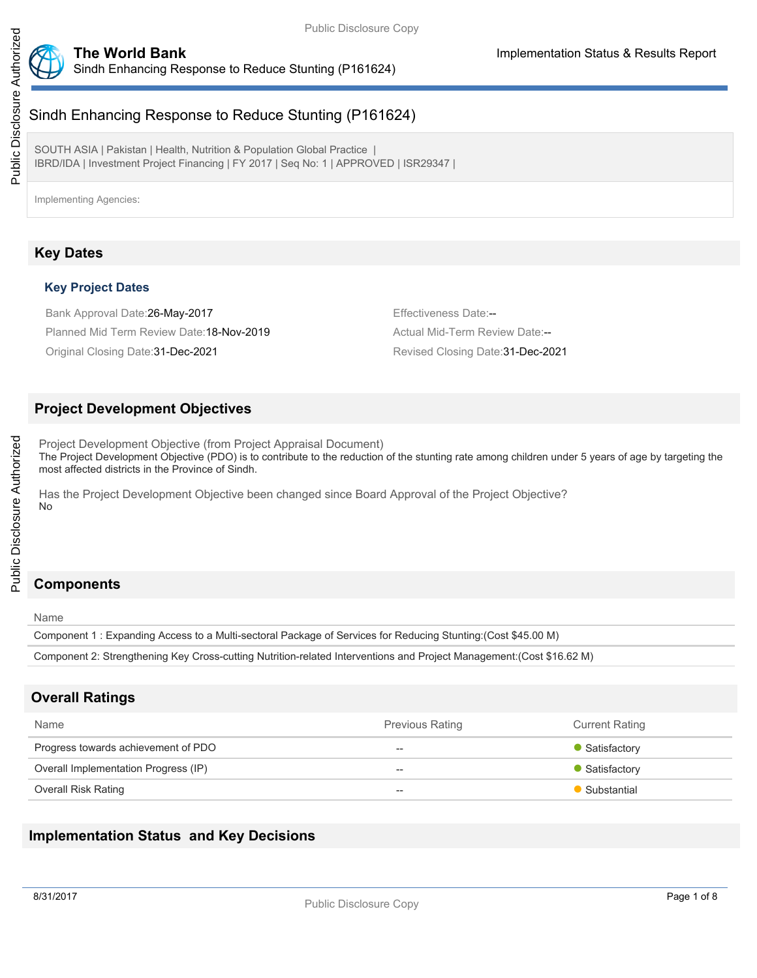

# Sindh Enhancing Response to Reduce Stunting (P161624)

SOUTH ASIA | Pakistan | Health, Nutrition & Population Global Practice | IBRD/IDA | Investment Project Financing | FY 2017 | Seq No: 1 | APPROVED | ISR29347 |

# **Key Dates**

## **Key Project Dates**

Bank Approval Date: 26-May-2017 **Effectiveness Date:**--Planned Mid Term Review Date: 18-Nov-2019 Manual Mid-Term Review Date:--

Original Closing Date:31-Dec-2021 Revised Closing Date:31-Dec-2021

## **Project Development Objectives**

Project Development Objective (from Project Appraisal Document) The Project Development Objective (PDO) is to contribute to the reduction of the stunting rate among children under 5 years of age by targeting the most affected districts in the Province of Sindh.

Has the Project Development Objective been changed since Board Approval of the Project Objective? No

# **Components**

Name

Component 1 : Expanding Access to a Multi-sectoral Package of Services for Reducing Stunting:(Cost \$45.00 M)

Component 2: Strengthening Key Cross-cutting Nutrition-related Interventions and Project Management:(Cost \$16.62 M)

## **Overall Ratings**

| Name                                 | <b>Previous Rating</b> | <b>Current Rating</b> |
|--------------------------------------|------------------------|-----------------------|
| Progress towards achievement of PDO  | $- -$                  | • Satisfactory        |
| Overall Implementation Progress (IP) | $- -$                  | • Satisfactory        |
| <b>Overall Risk Rating</b>           | $- -$                  | Substantial           |

# **Implementation Status and Key Decisions**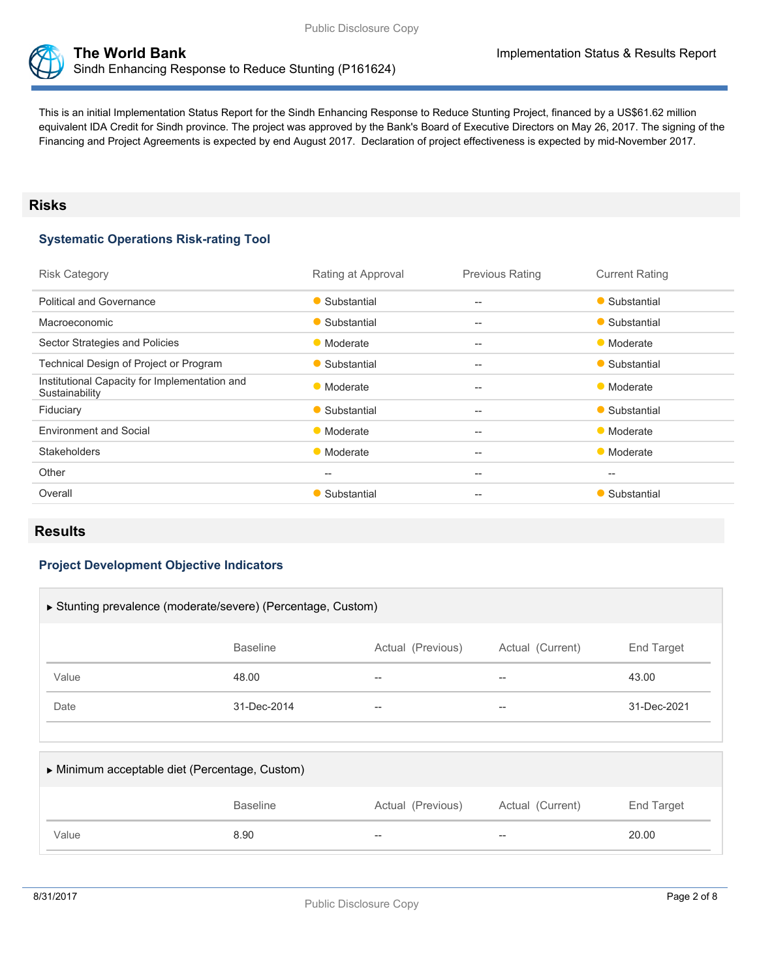



This is an initial Implementation Status Report for the Sindh Enhancing Response to Reduce Stunting Project, financed by a US\$61.62 million equivalent IDA Credit for Sindh province. The project was approved by the Bank's Board of Executive Directors on May 26, 2017. The signing of the Financing and Project Agreements is expected by end August 2017. Declaration of project effectiveness is expected by mid-November 2017.

### **Risks**

## **Systematic Operations Risk-rating Tool**

| <b>Risk Category</b>                                            | Rating at Approval | <b>Previous Rating</b> | <b>Current Rating</b> |
|-----------------------------------------------------------------|--------------------|------------------------|-----------------------|
| <b>Political and Governance</b>                                 | • Substantial      | $- -$                  | • Substantial         |
| Macroeconomic                                                   | • Substantial      | $- -$                  | • Substantial         |
| Sector Strategies and Policies                                  | • Moderate         | $- -$                  | • Moderate            |
| Technical Design of Project or Program                          | • Substantial      | --                     | • Substantial         |
| Institutional Capacity for Implementation and<br>Sustainability | • Moderate         | $- -$                  | • Moderate            |
| Fiduciary                                                       | • Substantial      | $--$                   | • Substantial         |
| <b>Environment and Social</b>                                   | • Moderate         | $- -$                  | • Moderate            |
| <b>Stakeholders</b>                                             | • Moderate         | $- -$                  | • Moderate            |
| Other                                                           | --                 | --                     | --                    |
| Overall                                                         | • Substantial      | --                     | • Substantial         |

## **Results**

#### **Project Development Objective Indicators**

| ▶ Stunting prevalence (moderate/severe) (Percentage, Custom)           |             |       |                   |             |  |  |
|------------------------------------------------------------------------|-------------|-------|-------------------|-------------|--|--|
| Actual (Previous)<br><b>Baseline</b><br>Actual (Current)<br>End Target |             |       |                   |             |  |  |
| Value                                                                  | 48.00       | $- -$ | $\hspace{0.05cm}$ | 43.00       |  |  |
| Date                                                                   | 31-Dec-2014 | $- -$ | $\hspace{0.05cm}$ | 31-Dec-2021 |  |  |
|                                                                        |             |       |                   |             |  |  |

| • Minimum acceptable diet (Percentage, Custom) |                 |                   |                  |            |
|------------------------------------------------|-----------------|-------------------|------------------|------------|
|                                                | <b>Baseline</b> | Actual (Previous) | Actual (Current) | End Target |
| Value                                          | 8.90            | $- -$             | $-$              | 20.00      |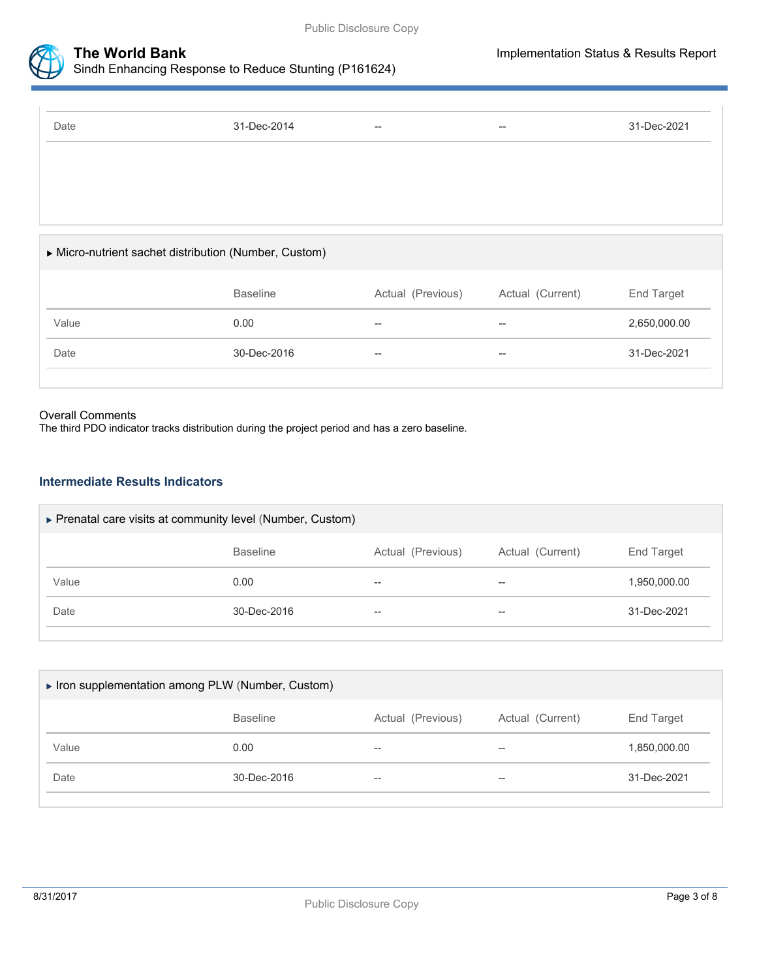



## **The World Bank Implementation Status & Results Report** Sindh Enhancing Response to Reduce Stunting (P161624)

| Date                                                | 31-Dec-2014     | $\hspace{0.05cm} -\hspace{0.05cm} -\hspace{0.05cm}$ | $\hspace{0.05cm}$                                   | 31-Dec-2021  |
|-----------------------------------------------------|-----------------|-----------------------------------------------------|-----------------------------------------------------|--------------|
|                                                     |                 |                                                     |                                                     |              |
|                                                     |                 |                                                     |                                                     |              |
|                                                     |                 |                                                     |                                                     |              |
| Micro-nutrient sachet distribution (Number, Custom) |                 |                                                     |                                                     |              |
|                                                     | <b>Baseline</b> | Actual (Previous)                                   | Actual (Current)                                    | End Target   |
| Value                                               | 0.00            | $- -$                                               | $\hspace{0.05cm} -\hspace{0.05cm} -\hspace{0.05cm}$ | 2,650,000.00 |
| Date                                                | 30-Dec-2016     | $- -$                                               | $\hspace{0.05cm} -\hspace{0.05cm} -\hspace{0.05cm}$ | 31-Dec-2021  |

#### Overall Comments

The third PDO indicator tracks distribution during the project period and has a zero baseline.

### **Intermediate Results Indicators**

| ▶ Prenatal care visits at community level (Number, Custom) |                 |                   |                  |              |
|------------------------------------------------------------|-----------------|-------------------|------------------|--------------|
|                                                            | <b>Baseline</b> | Actual (Previous) | Actual (Current) | End Target   |
| Value                                                      | 0.00            | $- -$             | $- -$            | 1,950,000.00 |
| Date                                                       | 30-Dec-2016     | $- -$             | $- -$            | 31-Dec-2021  |
|                                                            |                 |                   |                  |              |

| Iron supplementation among PLW (Number, Custom) |                 |                   |                  |              |  |
|-------------------------------------------------|-----------------|-------------------|------------------|--------------|--|
|                                                 | <b>Baseline</b> | Actual (Previous) | Actual (Current) | End Target   |  |
| Value                                           | 0.00            | $- -$             | $- -$            | 1,850,000.00 |  |
| Date                                            | 30-Dec-2016     | $- -$             | $-$              | 31-Dec-2021  |  |
|                                                 |                 |                   |                  |              |  |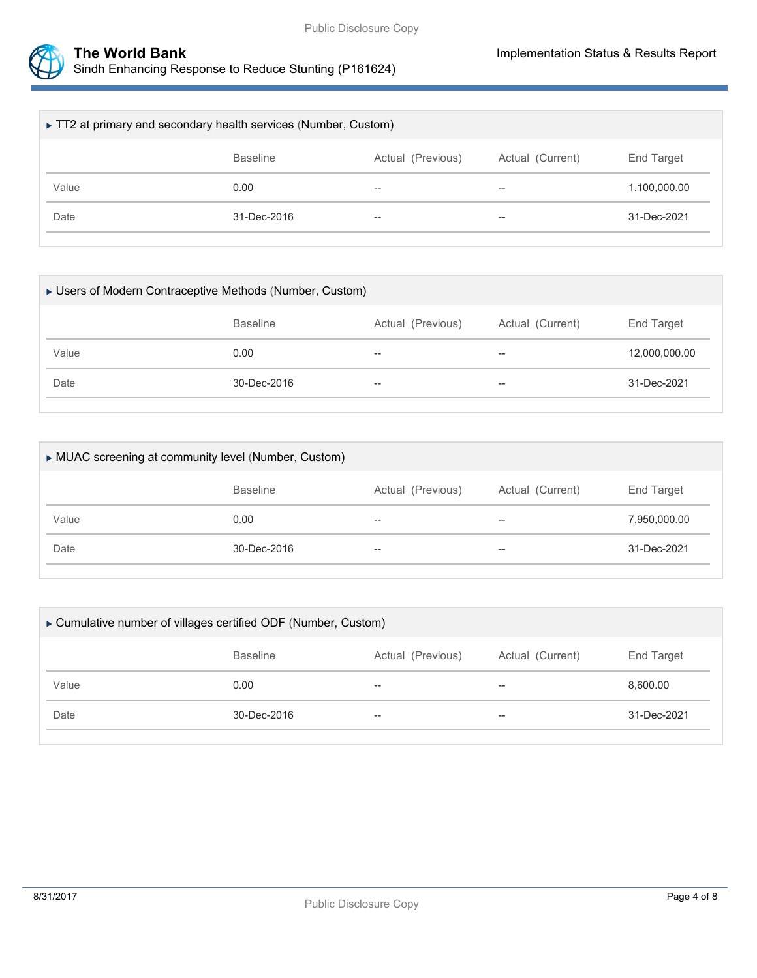



| ► TT2 at primary and secondary health services (Number, Custom)        |             |       |       |              |  |
|------------------------------------------------------------------------|-------------|-------|-------|--------------|--|
| <b>Baseline</b><br>Actual (Current)<br>Actual (Previous)<br>End Target |             |       |       |              |  |
| Value                                                                  | 0.00        | $- -$ | $- -$ | 1,100,000.00 |  |
| Date                                                                   | 31-Dec-2016 | $- -$ | $- -$ | 31-Dec-2021  |  |
|                                                                        |             |       |       |              |  |

| ► Users of Modern Contraceptive Methods (Number, Custom) |                 |                   |                  |               |
|----------------------------------------------------------|-----------------|-------------------|------------------|---------------|
|                                                          | <b>Baseline</b> | Actual (Previous) | Actual (Current) | End Target    |
| Value                                                    | 0.00            | $- -$             | $- -$            | 12,000,000.00 |
| Date                                                     | 30-Dec-2016     | $- -$             | $- -$            | 31-Dec-2021   |
|                                                          |                 |                   |                  |               |

| MUAC screening at community level (Number, Custom) |                 |                   |                          |                   |
|----------------------------------------------------|-----------------|-------------------|--------------------------|-------------------|
|                                                    | <b>Baseline</b> | Actual (Previous) | Actual (Current)         | <b>End Target</b> |
| Value                                              | 0.00            | $- -$             | $\overline{\phantom{m}}$ | 7,950,000.00      |
| Date                                               | 30-Dec-2016     | $- -$             | $-$                      | 31-Dec-2021       |
|                                                    |                 |                   |                          |                   |

| ► Cumulative number of villages certified ODF (Number, Custom)         |             |       |     |             |  |
|------------------------------------------------------------------------|-------------|-------|-----|-------------|--|
| End Target<br>Actual (Current)<br><b>Baseline</b><br>Actual (Previous) |             |       |     |             |  |
| Value                                                                  | 0.00        | $- -$ | $-$ | 8,600.00    |  |
| Date                                                                   | 30-Dec-2016 | $- -$ | $-$ | 31-Dec-2021 |  |
|                                                                        |             |       |     |             |  |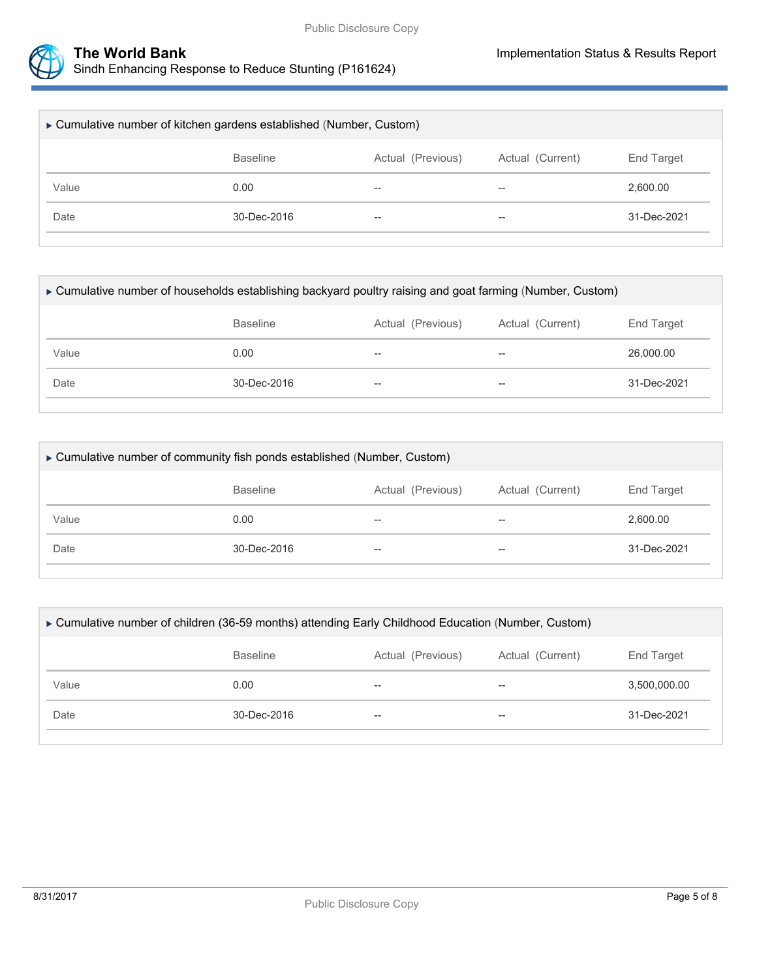

| ► Cumulative number of kitchen gardens established (Number, Custom)    |                   |       |       |             |  |
|------------------------------------------------------------------------|-------------------|-------|-------|-------------|--|
| <b>Baseline</b><br>Actual (Previous)<br>Actual (Current)<br>End Target |                   |       |       |             |  |
| Value                                                                  | 0.00              | $- -$ | $- -$ | 2,600.00    |  |
| Date                                                                   | $30 - Dec - 2016$ | $- -$ | $- -$ | 31-Dec-2021 |  |
|                                                                        |                   |       |       |             |  |

| ► Cumulative number of households establishing backyard poultry raising and goat farming (Number, Custom) |                  |                          |       |             |  |  |
|-----------------------------------------------------------------------------------------------------------|------------------|--------------------------|-------|-------------|--|--|
|                                                                                                           | Actual (Current) | End Target               |       |             |  |  |
| Value                                                                                                     | 0.00             | $\overline{\phantom{m}}$ | $- -$ | 26,000.00   |  |  |
| Date                                                                                                      | 30-Dec-2016      | $- -$                    | $- -$ | 31-Dec-2021 |  |  |
|                                                                                                           |                  |                          |       |             |  |  |

| ► Cumulative number of community fish ponds established (Number, Custom) |                                                          |       |       |             |  |  |
|--------------------------------------------------------------------------|----------------------------------------------------------|-------|-------|-------------|--|--|
|                                                                          | <b>Baseline</b><br>Actual (Previous)<br>Actual (Current) |       |       |             |  |  |
| Value                                                                    | 0.00                                                     | $- -$ | $- -$ | 2.600.00    |  |  |
| Date                                                                     | $30 - Dec - 2016$                                        | $- -$ | $- -$ | 31-Dec-2021 |  |  |
|                                                                          |                                                          |       |       |             |  |  |

| ► Cumulative number of children (36-59 months) attending Early Childhood Education (Number, Custom) |                   |                          |       |              |  |  |
|-----------------------------------------------------------------------------------------------------|-------------------|--------------------------|-------|--------------|--|--|
| Actual (Current)<br><b>Baseline</b><br>Actual (Previous)<br>End Target                              |                   |                          |       |              |  |  |
| Value                                                                                               | 0.00              | $\overline{\phantom{m}}$ | $- -$ | 3.500.000.00 |  |  |
| Date                                                                                                | $30 - Dec - 2016$ | $\overline{\phantom{m}}$ | $- -$ | 31-Dec-2021  |  |  |
|                                                                                                     |                   |                          |       |              |  |  |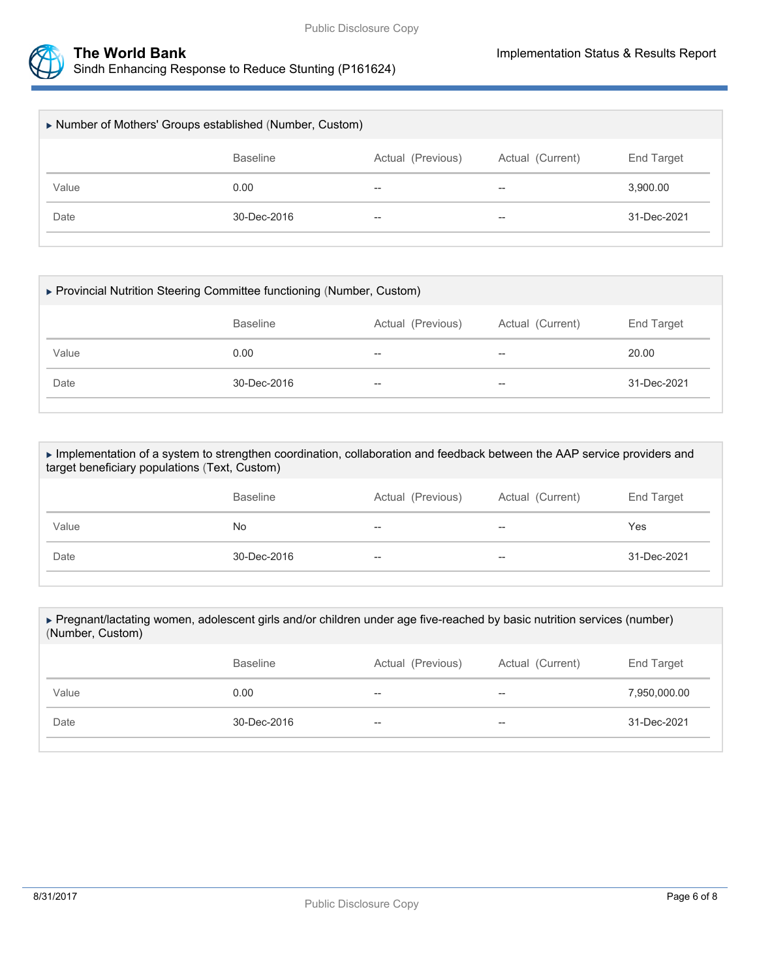



| Number of Mothers' Groups established (Number, Custom) |                 |                   |                          |             |  |  |
|--------------------------------------------------------|-----------------|-------------------|--------------------------|-------------|--|--|
|                                                        | <b>Baseline</b> | Actual (Previous) | Actual (Current)         | End Target  |  |  |
| Value                                                  | 0.00            | $- -$             | $\overline{\phantom{m}}$ | 3,900.00    |  |  |
| Date                                                   | 30-Dec-2016     | $- -$             | $-$                      | 31-Dec-2021 |  |  |
|                                                        |                 |                   |                          |             |  |  |

| ▶ Provincial Nutrition Steering Committee functioning (Number, Custom) |                                                                        |                          |       |             |  |  |
|------------------------------------------------------------------------|------------------------------------------------------------------------|--------------------------|-------|-------------|--|--|
|                                                                        | <b>Baseline</b><br>Actual (Current)<br>End Target<br>Actual (Previous) |                          |       |             |  |  |
| Value                                                                  | 0.00                                                                   | $\overline{\phantom{m}}$ | $-$   | 20.00       |  |  |
| Date                                                                   | 30-Dec-2016                                                            | $\overline{\phantom{m}}$ | $- -$ | 31-Dec-2021 |  |  |

 Implementation of a system to strengthen coordination, collaboration and feedback between the AAP service providers and target beneficiary populations (Text, Custom)

|       | <b>Baseline</b> | Actual (Previous)        | Actual (Current)         | End Target  |
|-------|-----------------|--------------------------|--------------------------|-------------|
| Value | No.             | $\overline{\phantom{m}}$ | $- -$                    | Yes         |
| Date  | 30-Dec-2016     | $\overline{\phantom{m}}$ | $\overline{\phantom{m}}$ | 31-Dec-2021 |

| ► Pregnant/lactating women, adolescent girls and/or children under age five-reached by basic nutrition services (number)<br>(Number, Custom) |                   |                   |                  |              |  |  |
|----------------------------------------------------------------------------------------------------------------------------------------------|-------------------|-------------------|------------------|--------------|--|--|
|                                                                                                                                              | <b>Baseline</b>   | Actual (Previous) | Actual (Current) | End Target   |  |  |
| Value                                                                                                                                        | 0.00              | $- -$             | $-$              | 7,950,000.00 |  |  |
| Date                                                                                                                                         | $30 - Dec - 2016$ | $- -$             | $- -$            | 31-Dec-2021  |  |  |
|                                                                                                                                              |                   |                   |                  |              |  |  |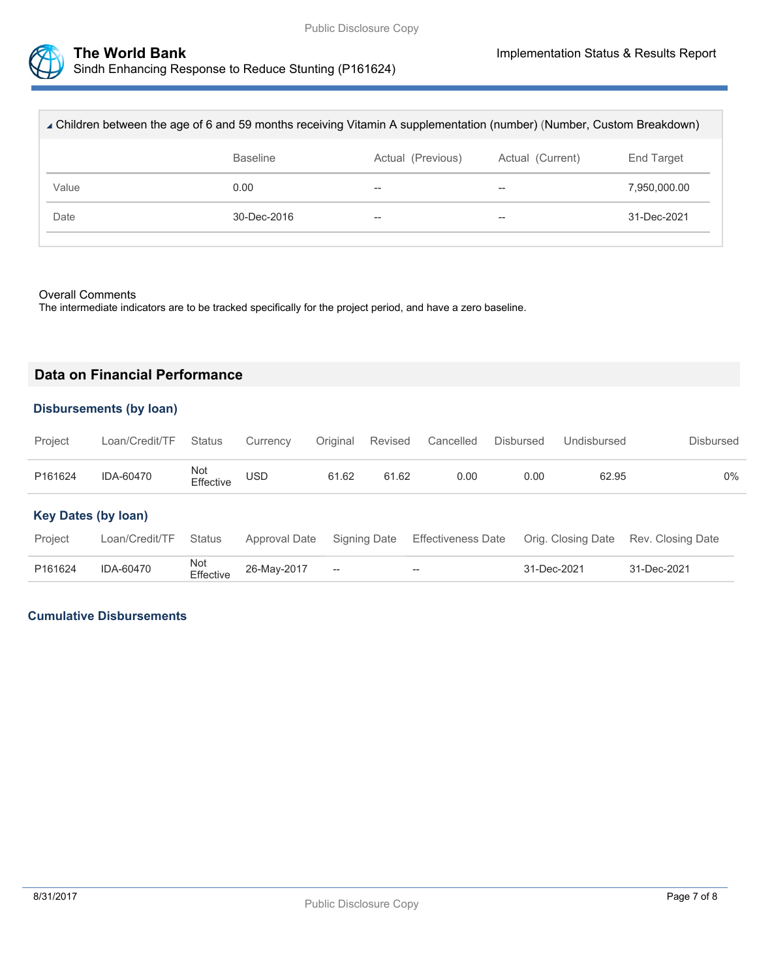

| ⊾ Children between the age of 6 and 59 months receiving Vitamin A supplementation (number) (Number, Custom Breakdown) |                                                          |    |                          |              |  |  |
|-----------------------------------------------------------------------------------------------------------------------|----------------------------------------------------------|----|--------------------------|--------------|--|--|
|                                                                                                                       | <b>Baseline</b><br>Actual (Previous)<br>Actual (Current) |    |                          |              |  |  |
| Value                                                                                                                 | 0.00                                                     | -- | $\overline{\phantom{m}}$ | 7,950,000.00 |  |  |
| Date                                                                                                                  | 30-Dec-2016                                              | -- | $\overline{\phantom{m}}$ | 31-Dec-2021  |  |  |
|                                                                                                                       |                                                          |    |                          |              |  |  |

#### Overall Comments

The intermediate indicators are to be tracked specifically for the project period, and have a zero baseline.

## **Data on Financial Performance**

### **Disbursements (by loan)**

| Project | Loan/Credit/TF Status Currency Original Revised Cancelled Disbursed |                  |            |       |       |      |      | Undisbursed | Disbursed |
|---------|---------------------------------------------------------------------|------------------|------------|-------|-------|------|------|-------------|-----------|
| P161624 | IDA-60470                                                           | Not<br>Effective | <b>USD</b> | 61.62 | 61.62 | 0.00 | 0.00 | 62.95       | $0\%$     |

#### **Key Dates (by loan)**

| Project | Loan/Credit/TF Status |                               |        | Approval Date Signing Date Effectiveness Date Orig. Closing Date Rev. Closing Date |             |             |
|---------|-----------------------|-------------------------------|--------|------------------------------------------------------------------------------------|-------------|-------------|
| P161624 | IDA-60470             | Not<br>Effective  26-May-2017 | $\sim$ | $- -$                                                                              | 31-Dec-2021 | 31-Dec-2021 |

#### **Cumulative Disbursements**